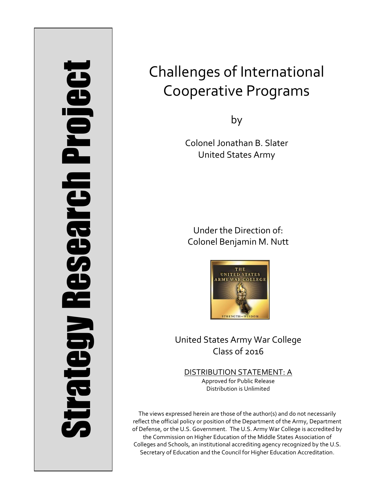# Strategy Research Project **Strategy Research Project**

# Challenges of International Cooperative Programs

by

Colonel Jonathan B. Slater United States Army

Under the Direction of: Colonel Benjamin M. Nutt



United States Army War College Class of 2016

DISTRIBUTION STATEMENT: A Approved for Public Release Distribution is Unlimited

The views expressed herein are those of the author(s) and do not necessarily reflect the official policy or position of the Department of the Army, Department of Defense, or the U.S. Government. The U.S. Army War College is accredited by the Commission on Higher Education of the Middle States Association of Colleges and Schools, an institutional accrediting agency recognized by the U.S. Secretary of Education and the Council for Higher Education Accreditation.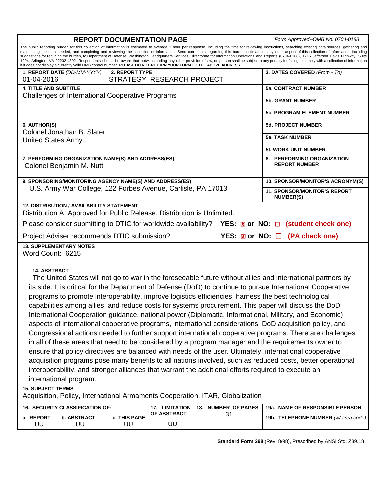| <b>REPORT DOCUMENTATION PAGE</b>                                                                                                                                                                                                                                                                                                                                                                                                                                                                                                                                                                                                                                                                                                                                                                                                                                                                                                                                                                                                                                                                                                                                                                                                                                       |                                                                                |                    |                                                              |                     |                                                         | Form Approved--OMB No. 0704-0188    |  |  |
|------------------------------------------------------------------------------------------------------------------------------------------------------------------------------------------------------------------------------------------------------------------------------------------------------------------------------------------------------------------------------------------------------------------------------------------------------------------------------------------------------------------------------------------------------------------------------------------------------------------------------------------------------------------------------------------------------------------------------------------------------------------------------------------------------------------------------------------------------------------------------------------------------------------------------------------------------------------------------------------------------------------------------------------------------------------------------------------------------------------------------------------------------------------------------------------------------------------------------------------------------------------------|--------------------------------------------------------------------------------|--------------------|--------------------------------------------------------------|---------------------|---------------------------------------------------------|-------------------------------------|--|--|
| The public reporting burden for this collection of information is estimated to average 1 hour per response, including the time for reviewing instructions, searching existing data sources, gathering and<br>maintaining the data needed, and completing and reviewing the collection of information. Send comments regarding this burden estimate or any other aspect of this collection of information, including<br>suggestions for reducing the burden, to Department of Defense, Washington Headquarters Services, Directorate for Information Operations and Reports (0704-0188), 1215 Jefferson Davis Highway, Suite<br>1204, Arlington, VA 22202-4302. Respondents should be aware that notwithstanding any other provision of law, no person shall be subject to any penalty for failing to comply with a collection of information<br>if it does not display a currently valid OMB control number. PLEASE DO NOT RETURN YOUR FORM TO THE ABOVE ADDRESS.                                                                                                                                                                                                                                                                                                      |                                                                                |                    |                                                              |                     |                                                         |                                     |  |  |
|                                                                                                                                                                                                                                                                                                                                                                                                                                                                                                                                                                                                                                                                                                                                                                                                                                                                                                                                                                                                                                                                                                                                                                                                                                                                        | 1. REPORT DATE (DD-MM-YYYY)                                                    | 2. REPORT TYPE     |                                                              |                     |                                                         | 3. DATES COVERED (From - To)        |  |  |
| 01-04-2016<br><b>4. TITLE AND SUBTITLE</b>                                                                                                                                                                                                                                                                                                                                                                                                                                                                                                                                                                                                                                                                                                                                                                                                                                                                                                                                                                                                                                                                                                                                                                                                                             |                                                                                |                    | STRATEGY RESEARCH PROJECT                                    |                     |                                                         | <b>5a. CONTRACT NUMBER</b>          |  |  |
|                                                                                                                                                                                                                                                                                                                                                                                                                                                                                                                                                                                                                                                                                                                                                                                                                                                                                                                                                                                                                                                                                                                                                                                                                                                                        | <b>Challenges of International Cooperative Programs</b>                        |                    |                                                              |                     |                                                         |                                     |  |  |
|                                                                                                                                                                                                                                                                                                                                                                                                                                                                                                                                                                                                                                                                                                                                                                                                                                                                                                                                                                                                                                                                                                                                                                                                                                                                        |                                                                                |                    |                                                              |                     |                                                         | <b>5b. GRANT NUMBER</b>             |  |  |
|                                                                                                                                                                                                                                                                                                                                                                                                                                                                                                                                                                                                                                                                                                                                                                                                                                                                                                                                                                                                                                                                                                                                                                                                                                                                        |                                                                                |                    |                                                              |                     |                                                         | 5c. PROGRAM ELEMENT NUMBER          |  |  |
| 6. AUTHOR(S)                                                                                                                                                                                                                                                                                                                                                                                                                                                                                                                                                                                                                                                                                                                                                                                                                                                                                                                                                                                                                                                                                                                                                                                                                                                           |                                                                                |                    |                                                              |                     |                                                         | <b>5d. PROJECT NUMBER</b>           |  |  |
| <b>United States Army</b>                                                                                                                                                                                                                                                                                                                                                                                                                                                                                                                                                                                                                                                                                                                                                                                                                                                                                                                                                                                                                                                                                                                                                                                                                                              | Colonel Jonathan B. Slater                                                     |                    |                                                              |                     |                                                         | <b>5e. TASK NUMBER</b>              |  |  |
|                                                                                                                                                                                                                                                                                                                                                                                                                                                                                                                                                                                                                                                                                                                                                                                                                                                                                                                                                                                                                                                                                                                                                                                                                                                                        |                                                                                |                    |                                                              |                     |                                                         | <b>5f. WORK UNIT NUMBER</b>         |  |  |
|                                                                                                                                                                                                                                                                                                                                                                                                                                                                                                                                                                                                                                                                                                                                                                                                                                                                                                                                                                                                                                                                                                                                                                                                                                                                        | 7. PERFORMING ORGANIZATION NAME(S) AND ADDRESS(ES)<br>Colonel Benjamin M. Nutt |                    |                                                              |                     | 8. PERFORMING ORGANIZATION<br><b>REPORT NUMBER</b>      |                                     |  |  |
| 9. SPONSORING/MONITORING AGENCY NAME(S) AND ADDRESS(ES)                                                                                                                                                                                                                                                                                                                                                                                                                                                                                                                                                                                                                                                                                                                                                                                                                                                                                                                                                                                                                                                                                                                                                                                                                |                                                                                |                    |                                                              |                     |                                                         | 10. SPONSOR/MONITOR'S ACRONYM(S)    |  |  |
|                                                                                                                                                                                                                                                                                                                                                                                                                                                                                                                                                                                                                                                                                                                                                                                                                                                                                                                                                                                                                                                                                                                                                                                                                                                                        |                                                                                |                    | U.S. Army War College, 122 Forbes Avenue, Carlisle, PA 17013 |                     | <b>11. SPONSOR/MONITOR'S REPORT</b><br><b>NUMBER(S)</b> |                                     |  |  |
| <b>12. DISTRIBUTION / AVAILABILITY STATEMENT</b><br>Distribution A: Approved for Public Release. Distribution is Unlimited.<br>Please consider submitting to DTIC for worldwide availability?<br>YES: $\boxtimes$ or NO: $\Box$ (student check one)                                                                                                                                                                                                                                                                                                                                                                                                                                                                                                                                                                                                                                                                                                                                                                                                                                                                                                                                                                                                                    |                                                                                |                    |                                                              |                     |                                                         |                                     |  |  |
| YES: <b>Z</b> or NO: □ (PA check one)<br>Project Adviser recommends DTIC submission?                                                                                                                                                                                                                                                                                                                                                                                                                                                                                                                                                                                                                                                                                                                                                                                                                                                                                                                                                                                                                                                                                                                                                                                   |                                                                                |                    |                                                              |                     |                                                         |                                     |  |  |
| <b>13. SUPPLEMENTARY NOTES</b>                                                                                                                                                                                                                                                                                                                                                                                                                                                                                                                                                                                                                                                                                                                                                                                                                                                                                                                                                                                                                                                                                                                                                                                                                                         |                                                                                |                    |                                                              |                     |                                                         |                                     |  |  |
| Word Count: 6215                                                                                                                                                                                                                                                                                                                                                                                                                                                                                                                                                                                                                                                                                                                                                                                                                                                                                                                                                                                                                                                                                                                                                                                                                                                       |                                                                                |                    |                                                              |                     |                                                         |                                     |  |  |
| <b>14. ABSTRACT</b><br>The United States will not go to war in the foreseeable future without allies and international partners by<br>its side. It is critical for the Department of Defense (DoD) to continue to pursue International Cooperative<br>programs to promote interoperability, improve logistics efficiencies, harness the best technological<br>capabilities among allies, and reduce costs for systems procurement. This paper will discuss the DoD<br>International Cooperation guidance, national power (Diplomatic, Informational, Military, and Economic)<br>aspects of international cooperative programs, international considerations, DoD acquisition policy, and<br>Congressional actions needed to further support international cooperative programs. There are challenges<br>in all of these areas that need to be considered by a program manager and the requirements owner to<br>ensure that policy directives are balanced with needs of the user. Ultimately, international cooperative<br>acquisition programs pose many benefits to all nations involved, such as reduced costs, better operational<br>interoperability, and stronger alliances that warrant the additional efforts required to execute an<br>international program. |                                                                                |                    |                                                              |                     |                                                         |                                     |  |  |
| <b>15. SUBJECT TERMS</b><br>Acquisition, Policy, International Armaments Cooperation, ITAR, Globalization                                                                                                                                                                                                                                                                                                                                                                                                                                                                                                                                                                                                                                                                                                                                                                                                                                                                                                                                                                                                                                                                                                                                                              |                                                                                |                    |                                                              |                     |                                                         |                                     |  |  |
|                                                                                                                                                                                                                                                                                                                                                                                                                                                                                                                                                                                                                                                                                                                                                                                                                                                                                                                                                                                                                                                                                                                                                                                                                                                                        | 16. SECURITY CLASSIFICATION OF:                                                |                    | 17. LIMITATION                                               | 18. NUMBER OF PAGES |                                                         | 19a. NAME OF RESPONSIBLE PERSON     |  |  |
| a. REPORT<br>UU                                                                                                                                                                                                                                                                                                                                                                                                                                                                                                                                                                                                                                                                                                                                                                                                                                                                                                                                                                                                                                                                                                                                                                                                                                                        | <b>b. ABSTRACT</b><br>UU                                                       | c. THIS PAGE<br>UU | OF ABSTRACT<br>UU                                            | 31                  |                                                         | 19b. TELEPHONE NUMBER (w/area code) |  |  |
|                                                                                                                                                                                                                                                                                                                                                                                                                                                                                                                                                                                                                                                                                                                                                                                                                                                                                                                                                                                                                                                                                                                                                                                                                                                                        |                                                                                |                    |                                                              |                     |                                                         |                                     |  |  |

**Standard Form 298** (Rev. 8/98), Prescribed by ANSI Std. Z39.18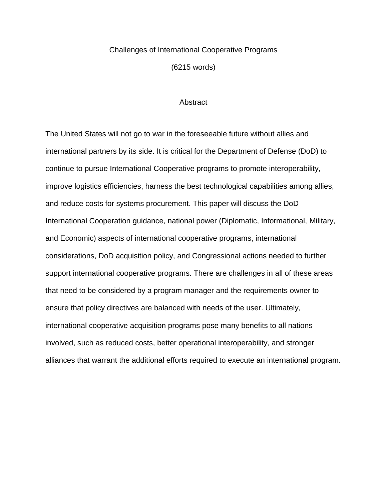### Challenges of International Cooperative Programs

(6215 words)

### **Abstract**

The United States will not go to war in the foreseeable future without allies and international partners by its side. It is critical for the Department of Defense (DoD) to continue to pursue International Cooperative programs to promote interoperability, improve logistics efficiencies, harness the best technological capabilities among allies, and reduce costs for systems procurement. This paper will discuss the DoD International Cooperation guidance, national power (Diplomatic, Informational, Military, and Economic) aspects of international cooperative programs, international considerations, DoD acquisition policy, and Congressional actions needed to further support international cooperative programs. There are challenges in all of these areas that need to be considered by a program manager and the requirements owner to ensure that policy directives are balanced with needs of the user. Ultimately, international cooperative acquisition programs pose many benefits to all nations involved, such as reduced costs, better operational interoperability, and stronger alliances that warrant the additional efforts required to execute an international program.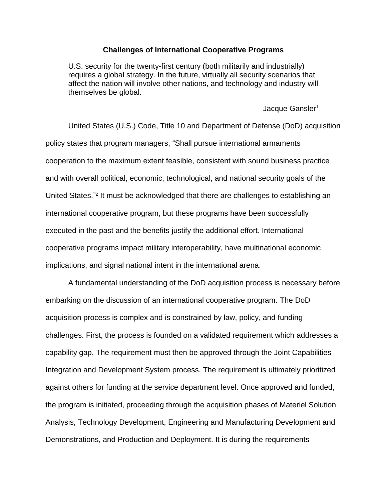### **Challenges of International Cooperative Programs**

U.S. security for the twenty-first century (both militarily and industrially) requires a global strategy. In the future, virtually all security scenarios that affect the nation will involve other nations, and technology and industry will themselves be global.

-Jacque Gansler<sup>1</sup>

United States (U.S.) Code, Title 10 and Department of Defense (DoD) acquisition policy states that program managers, "Shall pursue international armaments cooperation to the maximum extent feasible, consistent with sound business practice and with overall political, economic, technological, and national security goals of the United States."<sup>2</sup> It must be acknowledged that there are challenges to establishing an international cooperative program, but these programs have been successfully executed in the past and the benefits justify the additional effort. International cooperative programs impact military interoperability, have multinational economic implications, and signal national intent in the international arena.

A fundamental understanding of the DoD acquisition process is necessary before embarking on the discussion of an international cooperative program. The DoD acquisition process is complex and is constrained by law, policy, and funding challenges. First, the process is founded on a validated requirement which addresses a capability gap. The requirement must then be approved through the Joint Capabilities Integration and Development System process. The requirement is ultimately prioritized against others for funding at the service department level. Once approved and funded, the program is initiated, proceeding through the acquisition phases of Materiel Solution Analysis, Technology Development, Engineering and Manufacturing Development and Demonstrations, and Production and Deployment. It is during the requirements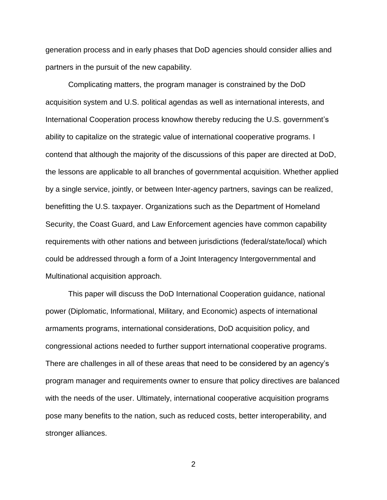generation process and in early phases that DoD agencies should consider allies and partners in the pursuit of the new capability.

Complicating matters, the program manager is constrained by the DoD acquisition system and U.S. political agendas as well as international interests, and International Cooperation process knowhow thereby reducing the U.S. government's ability to capitalize on the strategic value of international cooperative programs. I contend that although the majority of the discussions of this paper are directed at DoD, the lessons are applicable to all branches of governmental acquisition. Whether applied by a single service, jointly, or between Inter-agency partners, savings can be realized, benefitting the U.S. taxpayer. Organizations such as the Department of Homeland Security, the Coast Guard, and Law Enforcement agencies have common capability requirements with other nations and between jurisdictions (federal/state/local) which could be addressed through a form of a Joint Interagency Intergovernmental and Multinational acquisition approach.

This paper will discuss the DoD International Cooperation guidance, national power (Diplomatic, Informational, Military, and Economic) aspects of international armaments programs, international considerations, DoD acquisition policy, and congressional actions needed to further support international cooperative programs. There are challenges in all of these areas that need to be considered by an agency's program manager and requirements owner to ensure that policy directives are balanced with the needs of the user. Ultimately, international cooperative acquisition programs pose many benefits to the nation, such as reduced costs, better interoperability, and stronger alliances.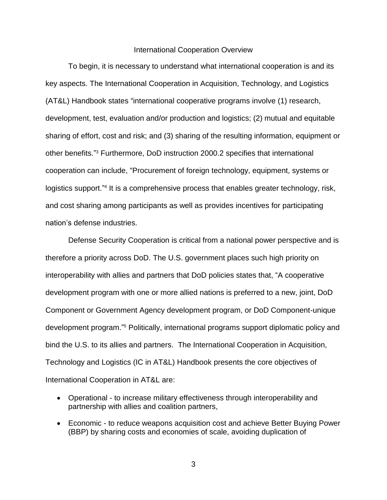### International Cooperation Overview

To begin, it is necessary to understand what international cooperation is and its key aspects. The International Cooperation in Acquisition, Technology, and Logistics (AT&L) Handbook states "international cooperative programs involve (1) research, development, test, evaluation and/or production and logistics; (2) mutual and equitable sharing of effort, cost and risk; and (3) sharing of the resulting information, equipment or other benefits." <sup>3</sup> Furthermore, DoD instruction 2000.2 specifies that international cooperation can include, "Procurement of foreign technology, equipment, systems or logistics support."<sup>4</sup> It is a comprehensive process that enables greater technology, risk, and cost sharing among participants as well as provides incentives for participating nation's defense industries.

Defense Security Cooperation is critical from a national power perspective and is therefore a priority across DoD. The U.S. government places such high priority on interoperability with allies and partners that DoD policies states that, "A cooperative development program with one or more allied nations is preferred to a new, joint, DoD Component or Government Agency development program, or DoD Component-unique development program." <sup>5</sup> Politically, international programs support diplomatic policy and bind the U.S. to its allies and partners. The International Cooperation in Acquisition, Technology and Logistics (IC in AT&L) Handbook presents the core objectives of International Cooperation in AT&L are:

- Operational to increase military effectiveness through interoperability and partnership with allies and coalition partners,
- Economic to reduce weapons acquisition cost and achieve Better Buying Power (BBP) by sharing costs and economies of scale, avoiding duplication of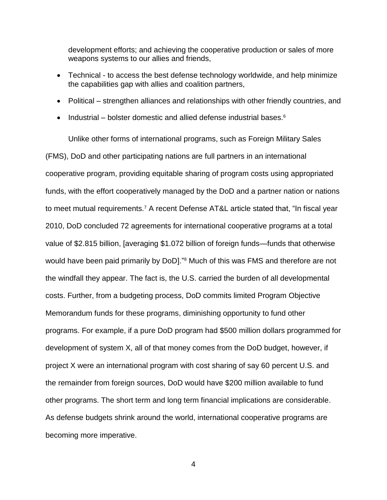development efforts; and achieving the cooperative production or sales of more weapons systems to our allies and friends,

- Technical to access the best defense technology worldwide, and help minimize the capabilities gap with allies and coalition partners,
- Political strengthen alliances and relationships with other friendly countries, and
- Industrial bolster domestic and allied defense industrial bases. $6$

Unlike other forms of international programs, such as Foreign Military Sales (FMS), DoD and other participating nations are full partners in an international cooperative program, providing equitable sharing of program costs using appropriated funds, with the effort cooperatively managed by the DoD and a partner nation or nations to meet mutual requirements.<sup>7</sup> A recent Defense AT&L article stated that, "In fiscal year 2010, DoD concluded 72 agreements for international cooperative programs at a total value of \$2.815 billion, [averaging \$1.072 billion of foreign funds—funds that otherwise would have been paid primarily by DoD]."<sup>8</sup> Much of this was FMS and therefore are not the windfall they appear. The fact is, the U.S. carried the burden of all developmental costs. Further, from a budgeting process, DoD commits limited Program Objective Memorandum funds for these programs, diminishing opportunity to fund other programs. For example, if a pure DoD program had \$500 million dollars programmed for development of system X, all of that money comes from the DoD budget, however, if project X were an international program with cost sharing of say 60 percent U.S. and the remainder from foreign sources, DoD would have \$200 million available to fund other programs. The short term and long term financial implications are considerable. As defense budgets shrink around the world, international cooperative programs are becoming more imperative.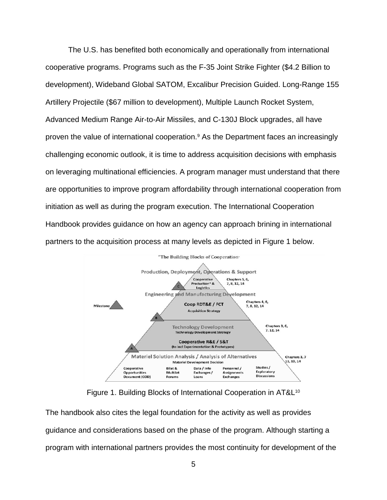The U.S. has benefited both economically and operationally from international cooperative programs. Programs such as the F-35 Joint Strike Fighter (\$4.2 Billion to development), Wideband Global SATOM, Excalibur Precision Guided. Long-Range 155 Artillery Projectile (\$67 million to development), Multiple Launch Rocket System, Advanced Medium Range Air-to-Air Missiles, and C-130J Block upgrades, all have proven the value of international cooperation.<sup>9</sup> As the Department faces an increasingly challenging economic outlook, it is time to address acquisition decisions with emphasis on leveraging multinational efficiencies. A program manager must understand that there are opportunities to improve program affordability through international cooperation from initiation as well as during the program execution. The International Cooperation Handbook provides guidance on how an agency can approach brining in international partners to the acquisition process at many levels as depicted in Figure 1 below.



Figure 1. Building Blocks of International Cooperation in AT&L<sup>10</sup>

The handbook also cites the legal foundation for the activity as well as provides guidance and considerations based on the phase of the program. Although starting a program with international partners provides the most continuity for development of the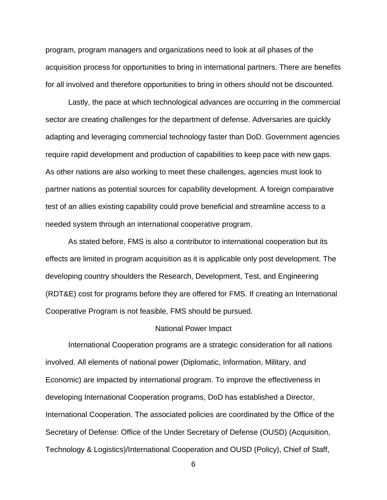program, program managers and organizations need to look at all phases of the acquisition process for opportunities to bring in international partners. There are benefits for all involved and therefore opportunities to bring in others should not be discounted.

Lastly, the pace at which technological advances are occurring in the commercial sector are creating challenges for the department of defense. Adversaries are quickly adapting and leveraging commercial technology faster than DoD. Government agencies require rapid development and production of capabilities to keep pace with new gaps. As other nations are also working to meet these challenges, agencies must look to partner nations as potential sources for capability development. A foreign comparative test of an allies existing capability could prove beneficial and streamline access to a needed system through an international cooperative program.

As stated before, FMS is also a contributor to international cooperation but its effects are limited in program acquisition as it is applicable only post development. The developing country shoulders the Research, Development, Test, and Engineering (RDT&E) cost for programs before they are offered for FMS. If creating an International Cooperative Program is not feasible, FMS should be pursued.

### National Power Impact

International Cooperation programs are a strategic consideration for all nations involved. All elements of national power (Diplomatic, Information, Military, and Economic) are impacted by international program. To improve the effectiveness in developing International Cooperation programs, DoD has established a Director, International Cooperation. The associated policies are coordinated by the Office of the Secretary of Defense: Office of the Under Secretary of Defense (OUSD) (Acquisition, Technology & Logistics)/International Cooperation and OUSD (Policy), Chief of Staff,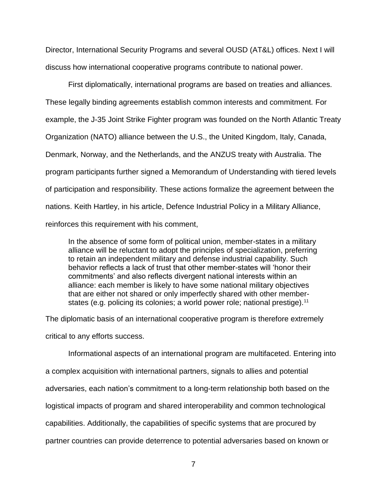Director, International Security Programs and several OUSD (AT&L) offices. Next I will discuss how international cooperative programs contribute to national power.

First diplomatically, international programs are based on treaties and alliances. These legally binding agreements establish common interests and commitment. For example, the J-35 Joint Strike Fighter program was founded on the North Atlantic Treaty Organization (NATO) alliance between the U.S., the United Kingdom, Italy, Canada, Denmark, Norway, and the Netherlands, and the ANZUS treaty with Australia. The program participants further signed a Memorandum of Understanding with tiered levels of participation and responsibility. These actions formalize the agreement between the nations. Keith Hartley, in his article, Defence Industrial Policy in a Military Alliance, reinforces this requirement with his comment,

In the absence of some form of political union, member-states in a military alliance will be reluctant to adopt the principles of specialization, preferring to retain an independent military and defense industrial capability. Such behavior reflects a lack of trust that other member-states will 'honor their commitments' and also reflects divergent national interests within an alliance: each member is likely to have some national military objectives that are either not shared or only imperfectly shared with other memberstates (e.g. policing its colonies; a world power role; national prestige).<sup>11</sup>

The diplomatic basis of an international cooperative program is therefore extremely

critical to any efforts success.

Informational aspects of an international program are multifaceted. Entering into a complex acquisition with international partners, signals to allies and potential adversaries, each nation's commitment to a long-term relationship both based on the logistical impacts of program and shared interoperability and common technological capabilities. Additionally, the capabilities of specific systems that are procured by partner countries can provide deterrence to potential adversaries based on known or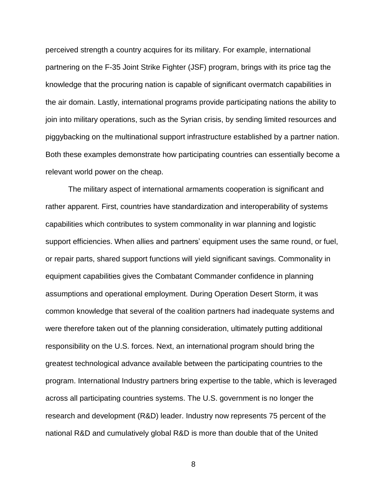perceived strength a country acquires for its military. For example, international partnering on the F-35 Joint Strike Fighter (JSF) program, brings with its price tag the knowledge that the procuring nation is capable of significant overmatch capabilities in the air domain. Lastly, international programs provide participating nations the ability to join into military operations, such as the Syrian crisis, by sending limited resources and piggybacking on the multinational support infrastructure established by a partner nation. Both these examples demonstrate how participating countries can essentially become a relevant world power on the cheap.

The military aspect of international armaments cooperation is significant and rather apparent. First, countries have standardization and interoperability of systems capabilities which contributes to system commonality in war planning and logistic support efficiencies. When allies and partners' equipment uses the same round, or fuel, or repair parts, shared support functions will yield significant savings. Commonality in equipment capabilities gives the Combatant Commander confidence in planning assumptions and operational employment. During Operation Desert Storm, it was common knowledge that several of the coalition partners had inadequate systems and were therefore taken out of the planning consideration, ultimately putting additional responsibility on the U.S. forces. Next, an international program should bring the greatest technological advance available between the participating countries to the program. International Industry partners bring expertise to the table, which is leveraged across all participating countries systems. The U.S. government is no longer the research and development (R&D) leader. Industry now represents 75 percent of the national R&D and cumulatively global R&D is more than double that of the United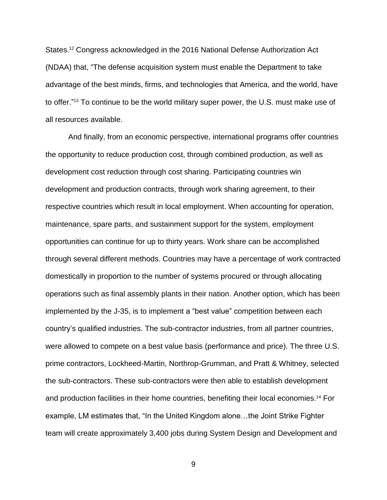States.<sup>12</sup> Congress acknowledged in the 2016 National Defense Authorization Act (NDAA) that, "The defense acquisition system must enable the Department to take advantage of the best minds, firms, and technologies that America, and the world, have to offer."<sup>13</sup> To continue to be the world military super power, the U.S. must make use of all resources available.

And finally, from an economic perspective, international programs offer countries the opportunity to reduce production cost, through combined production, as well as development cost reduction through cost sharing. Participating countries win development and production contracts, through work sharing agreement, to their respective countries which result in local employment. When accounting for operation, maintenance, spare parts, and sustainment support for the system, employment opportunities can continue for up to thirty years. Work share can be accomplished through several different methods. Countries may have a percentage of work contracted domestically in proportion to the number of systems procured or through allocating operations such as final assembly plants in their nation. Another option, which has been implemented by the J-35, is to implement a "best value" competition between each country's qualified industries. The sub-contractor industries, from all partner countries, were allowed to compete on a best value basis (performance and price). The three U.S. prime contractors, Lockheed-Martin, Northrop-Grumman, and Pratt & Whitney, selected the sub-contractors. These sub-contractors were then able to establish development and production facilities in their home countries, benefiting their local economies.<sup>14</sup> For example, LM estimates that, "In the United Kingdom alone…the Joint Strike Fighter team will create approximately 3,400 jobs during System Design and Development and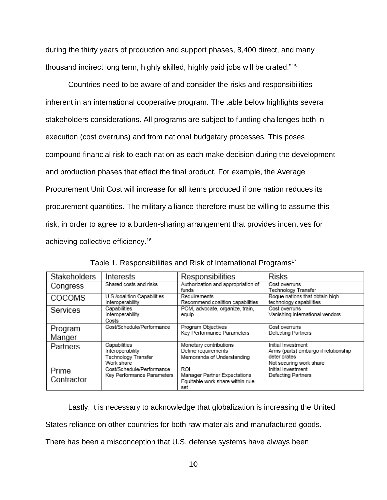during the thirty years of production and support phases, 8,400 direct, and many thousand indirect long term, highly skilled, highly paid jobs will be crated."<sup>15</sup>

Countries need to be aware of and consider the risks and responsibilities inherent in an international cooperative program. The table below highlights several stakeholders considerations. All programs are subject to funding challenges both in execution (cost overruns) and from national budgetary processes. This poses compound financial risk to each nation as each make decision during the development and production phases that effect the final product. For example, the Average Procurement Unit Cost will increase for all items produced if one nation reduces its procurement quantities. The military alliance therefore must be willing to assume this risk, in order to agree to a burden-sharing arrangement that provides incentives for achieving collective efficiency.<sup>16</sup>

| <b>Stakeholders</b> | Interests                                                             | Responsibilities                                                               | <b>Risks</b>                                                                                          |
|---------------------|-----------------------------------------------------------------------|--------------------------------------------------------------------------------|-------------------------------------------------------------------------------------------------------|
| Congress            | Shared costs and risks                                                | Authorization and appropriation of<br>funds                                    | Cost overruns<br>Technology Transfer                                                                  |
| <b>COCOMS</b>       | U.S./coalition Capabilities<br>Interoperability                       | Requirements<br>Recommend coalition capabilities                               | Roque nations that obtain high<br>technology capabilities                                             |
| Services            | Capabilities<br>Interoperability<br>Costs                             | POM, advocate, organize, train,<br>equip                                       | Cost overruns<br>Vanishing international vendors                                                      |
| Program<br>Manger   | Cost/Schedule/Performance                                             | Program Objectives<br>Key Performance Parameters                               | Cost overruns<br>Defecting Partners                                                                   |
| Partners            | Capabilities<br>Interoperability<br>Technology Transfer<br>Work share | Monetary contributions<br>Define requirements<br>Memoranda of Understanding    | Initial Investment<br>Arms (parts) embargo if relationship<br>deteriorates<br>Not securing work share |
| Prime<br>Contractor | Cost/Schedule/Performance<br>Key Performance Parameters               | RO.<br>Manager Partner Expectations<br>Equitable work share within rule<br>set | Initial Investment<br>Defecting Partners                                                              |

Table 1. Responsibilities and Risk of International Programs<sup>17</sup>

Lastly, it is necessary to acknowledge that globalization is increasing the United States reliance on other countries for both raw materials and manufactured goods. There has been a misconception that U.S. defense systems have always been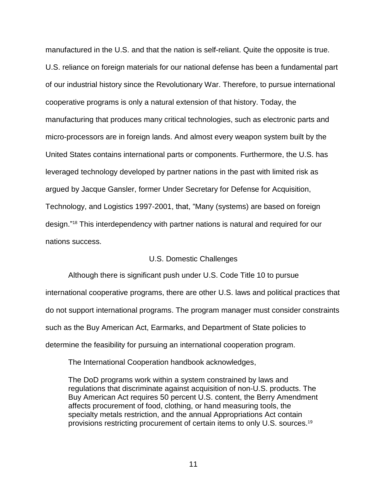manufactured in the U.S. and that the nation is self-reliant. Quite the opposite is true. U.S. reliance on foreign materials for our national defense has been a fundamental part of our industrial history since the Revolutionary War. Therefore, to pursue international cooperative programs is only a natural extension of that history. Today, the manufacturing that produces many critical technologies, such as electronic parts and micro-processors are in foreign lands. And almost every weapon system built by the United States contains international parts or components. Furthermore, the U.S. has leveraged technology developed by partner nations in the past with limited risk as argued by Jacque Gansler, former Under Secretary for Defense for Acquisition, Technology, and Logistics 1997-2001, that, "Many (systems) are based on foreign design." <sup>18</sup> This interdependency with partner nations is natural and required for our nations success.

### U.S. Domestic Challenges

Although there is significant push under U.S. Code Title 10 to pursue international cooperative programs, there are other U.S. laws and political practices that do not support international programs. The program manager must consider constraints such as the Buy American Act, Earmarks, and Department of State policies to determine the feasibility for pursuing an international cooperation program.

The International Cooperation handbook acknowledges,

The DoD programs work within a system constrained by laws and regulations that discriminate against acquisition of non-U.S. products. The Buy American Act requires 50 percent U.S. content, the Berry Amendment affects procurement of food, clothing, or hand measuring tools, the specialty metals restriction, and the annual Appropriations Act contain provisions restricting procurement of certain items to only U.S. sources.<sup>19</sup>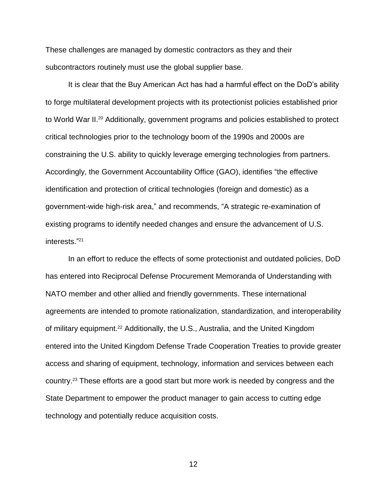These challenges are managed by domestic contractors as they and their subcontractors routinely must use the global supplier base.

It is clear that the Buy American Act has had a harmful effect on the DoD's ability to forge multilateral development projects with its protectionist policies established prior to World War II.<sup>20</sup> Additionally, government programs and policies established to protect critical technologies prior to the technology boom of the 1990s and 2000s are constraining the U.S. ability to quickly leverage emerging technologies from partners. Accordingly, the Government Accountability Office (GAO), identifies "the effective identification and protection of critical technologies (foreign and domestic) as a government-wide high-risk area," and recommends, "A strategic re-examination of existing programs to identify needed changes and ensure the advancement of U.S. interests." 21

In an effort to reduce the effects of some protectionist and outdated policies, DoD has entered into Reciprocal Defense Procurement Memoranda of Understanding with NATO member and other allied and friendly governments. These international agreements are intended to promote rationalization, standardization, and interoperability of military equipment.<sup>22</sup> Additionally, the U.S., Australia, and the United Kingdom entered into the United Kingdom Defense Trade Cooperation Treaties to provide greater access and sharing of equipment, technology, information and services between each country. <sup>23</sup> These efforts are a good start but more work is needed by congress and the State Department to empower the product manager to gain access to cutting edge technology and potentially reduce acquisition costs.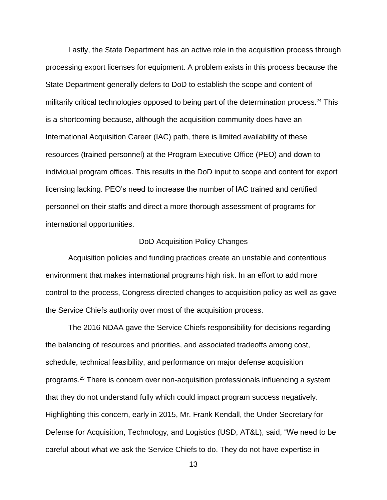Lastly, the State Department has an active role in the acquisition process through processing export licenses for equipment. A problem exists in this process because the State Department generally defers to DoD to establish the scope and content of militarily critical technologies opposed to being part of the determination process. <sup>24</sup> This is a shortcoming because, although the acquisition community does have an International Acquisition Career (IAC) path, there is limited availability of these resources (trained personnel) at the Program Executive Office (PEO) and down to individual program offices. This results in the DoD input to scope and content for export licensing lacking. PEO's need to increase the number of IAC trained and certified personnel on their staffs and direct a more thorough assessment of programs for international opportunities.

### DoD Acquisition Policy Changes

Acquisition policies and funding practices create an unstable and contentious environment that makes international programs high risk. In an effort to add more control to the process, Congress directed changes to acquisition policy as well as gave the Service Chiefs authority over most of the acquisition process.

The 2016 NDAA gave the Service Chiefs responsibility for decisions regarding the balancing of resources and priorities, and associated tradeoffs among cost, schedule, technical feasibility, and performance on major defense acquisition programs. <sup>25</sup> There is concern over non-acquisition professionals influencing a system that they do not understand fully which could impact program success negatively. Highlighting this concern, early in 2015, Mr. Frank Kendall, the Under Secretary for Defense for Acquisition, Technology, and Logistics (USD, AT&L), said, "We need to be careful about what we ask the Service Chiefs to do. They do not have expertise in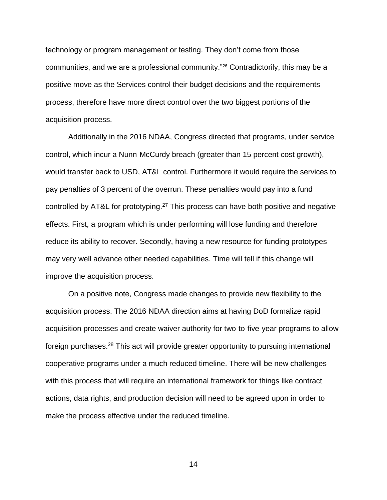technology or program management or testing. They don't come from those communities, and we are a professional community." <sup>26</sup> Contradictorily, this may be a positive move as the Services control their budget decisions and the requirements process, therefore have more direct control over the two biggest portions of the acquisition process.

Additionally in the 2016 NDAA, Congress directed that programs, under service control, which incur a Nunn-McCurdy breach (greater than 15 percent cost growth), would transfer back to USD, AT&L control. Furthermore it would require the services to pay penalties of 3 percent of the overrun. These penalties would pay into a fund controlled by AT&L for prototyping.<sup>27</sup> This process can have both positive and negative effects. First, a program which is under performing will lose funding and therefore reduce its ability to recover. Secondly, having a new resource for funding prototypes may very well advance other needed capabilities. Time will tell if this change will improve the acquisition process.

On a positive note, Congress made changes to provide new flexibility to the acquisition process. The 2016 NDAA direction aims at having DoD formalize rapid acquisition processes and create waiver authority for two-to-five-year programs to allow foreign purchases.<sup>28</sup> This act will provide greater opportunity to pursuing international cooperative programs under a much reduced timeline. There will be new challenges with this process that will require an international framework for things like contract actions, data rights, and production decision will need to be agreed upon in order to make the process effective under the reduced timeline.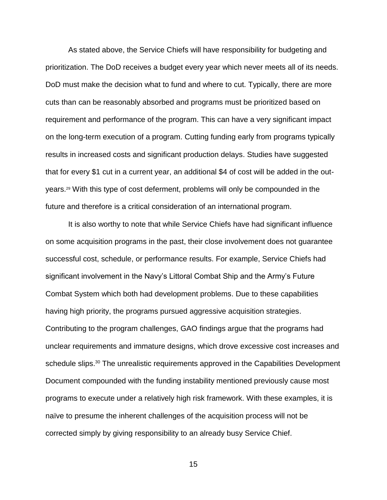As stated above, the Service Chiefs will have responsibility for budgeting and prioritization. The DoD receives a budget every year which never meets all of its needs. DoD must make the decision what to fund and where to cut. Typically, there are more cuts than can be reasonably absorbed and programs must be prioritized based on requirement and performance of the program. This can have a very significant impact on the long-term execution of a program. Cutting funding early from programs typically results in increased costs and significant production delays. Studies have suggested that for every \$1 cut in a current year, an additional \$4 of cost will be added in the outyears.<sup>29</sup> With this type of cost deferment, problems will only be compounded in the future and therefore is a critical consideration of an international program.

It is also worthy to note that while Service Chiefs have had significant influence on some acquisition programs in the past, their close involvement does not guarantee successful cost, schedule, or performance results. For example, Service Chiefs had significant involvement in the Navy's Littoral Combat Ship and the Army's Future Combat System which both had development problems. Due to these capabilities having high priority, the programs pursued aggressive acquisition strategies. Contributing to the program challenges, GAO findings argue that the programs had unclear requirements and immature designs, which drove excessive cost increases and schedule slips.<sup>30</sup> The unrealistic requirements approved in the Capabilities Development Document compounded with the funding instability mentioned previously cause most programs to execute under a relatively high risk framework. With these examples, it is naïve to presume the inherent challenges of the acquisition process will not be corrected simply by giving responsibility to an already busy Service Chief.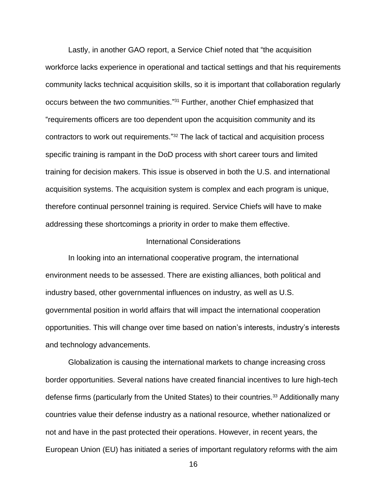Lastly, in another GAO report, a Service Chief noted that "the acquisition workforce lacks experience in operational and tactical settings and that his requirements community lacks technical acquisition skills, so it is important that collaboration regularly occurs between the two communities." <sup>31</sup> Further, another Chief emphasized that "requirements officers are too dependent upon the acquisition community and its contractors to work out requirements." <sup>32</sup> The lack of tactical and acquisition process specific training is rampant in the DoD process with short career tours and limited training for decision makers. This issue is observed in both the U.S. and international acquisition systems. The acquisition system is complex and each program is unique, therefore continual personnel training is required. Service Chiefs will have to make addressing these shortcomings a priority in order to make them effective.

### International Considerations

In looking into an international cooperative program, the international environment needs to be assessed. There are existing alliances, both political and industry based, other governmental influences on industry, as well as U.S. governmental position in world affairs that will impact the international cooperation opportunities. This will change over time based on nation's interests, industry's interests and technology advancements.

Globalization is causing the international markets to change increasing cross border opportunities. Several nations have created financial incentives to lure high-tech defense firms (particularly from the United States) to their countries.<sup>33</sup> Additionally many countries value their defense industry as a national resource, whether nationalized or not and have in the past protected their operations. However, in recent years, the European Union (EU) has initiated a series of important regulatory reforms with the aim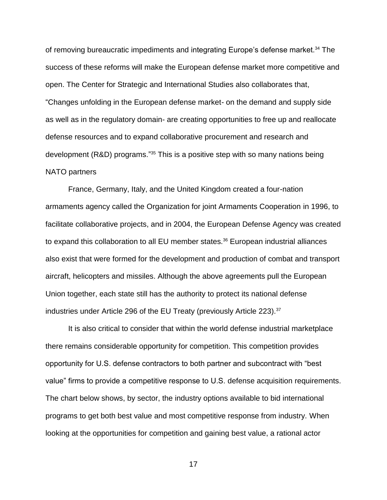of removing bureaucratic impediments and integrating Europe's defense market.<sup>34</sup> The success of these reforms will make the European defense market more competitive and open. The Center for Strategic and International Studies also collaborates that, "Changes unfolding in the European defense market- on the demand and supply side as well as in the regulatory domain- are creating opportunities to free up and reallocate defense resources and to expand collaborative procurement and research and development (R&D) programs."<sup>35</sup> This is a positive step with so many nations being NATO partners

France, Germany, Italy, and the United Kingdom created a four-nation armaments agency called the Organization for joint Armaments Cooperation in 1996, to facilitate collaborative projects, and in 2004, the European Defense Agency was created to expand this collaboration to all EU member states.<sup>36</sup> European industrial alliances also exist that were formed for the development and production of combat and transport aircraft, helicopters and missiles. Although the above agreements pull the European Union together, each state still has the authority to protect its national defense industries under Article 296 of the EU Treaty (previously Article 223).<sup>37</sup>

It is also critical to consider that within the world defense industrial marketplace there remains considerable opportunity for competition. This competition provides opportunity for U.S. defense contractors to both partner and subcontract with "best value" firms to provide a competitive response to U.S. defense acquisition requirements. The chart below shows, by sector, the industry options available to bid international programs to get both best value and most competitive response from industry. When looking at the opportunities for competition and gaining best value, a rational actor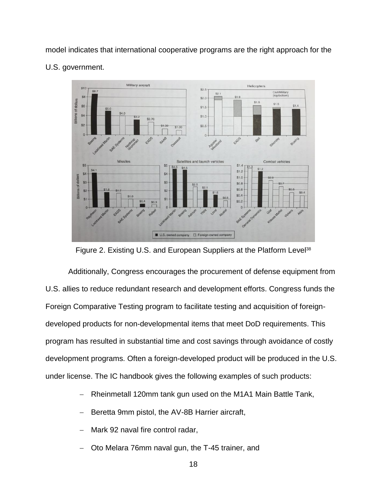model indicates that international cooperative programs are the right approach for the U.S. government.



Figure 2. Existing U.S. and European Suppliers at the Platform Level<sup>38</sup>

Additionally, Congress encourages the procurement of defense equipment from U.S. allies to reduce redundant research and development efforts. Congress funds the Foreign Comparative Testing program to facilitate testing and acquisition of foreigndeveloped products for non-developmental items that meet DoD requirements. This program has resulted in substantial time and cost savings through avoidance of costly development programs. Often a foreign-developed product will be produced in the U.S. under license. The IC handbook gives the following examples of such products:

- Rheinmetall 120mm tank gun used on the M1A1 Main Battle Tank,
- Beretta 9mm pistol, the AV-8B Harrier aircraft,
- Mark 92 naval fire control radar,
- Oto Melara 76mm naval gun, the T-45 trainer, and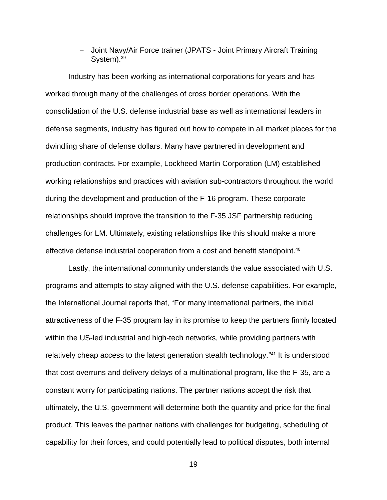- Joint Navy/Air Force trainer (JPATS - Joint Primary Aircraft Training System).<sup>39</sup>

Industry has been working as international corporations for years and has worked through many of the challenges of cross border operations. With the consolidation of the U.S. defense industrial base as well as international leaders in defense segments, industry has figured out how to compete in all market places for the dwindling share of defense dollars. Many have partnered in development and production contracts. For example, Lockheed Martin Corporation (LM) established working relationships and practices with aviation sub-contractors throughout the world during the development and production of the F-16 program. These corporate relationships should improve the transition to the F-35 JSF partnership reducing challenges for LM. Ultimately, existing relationships like this should make a more effective defense industrial cooperation from a cost and benefit standpoint. 40

Lastly, the international community understands the value associated with U.S. programs and attempts to stay aligned with the U.S. defense capabilities. For example, the International Journal reports that, "For many international partners, the initial attractiveness of the F-35 program lay in its promise to keep the partners firmly located within the US-led industrial and high-tech networks, while providing partners with relatively cheap access to the latest generation stealth technology." <sup>41</sup> It is understood that cost overruns and delivery delays of a multinational program, like the F-35, are a constant worry for participating nations. The partner nations accept the risk that ultimately, the U.S. government will determine both the quantity and price for the final product. This leaves the partner nations with challenges for budgeting, scheduling of capability for their forces, and could potentially lead to political disputes, both internal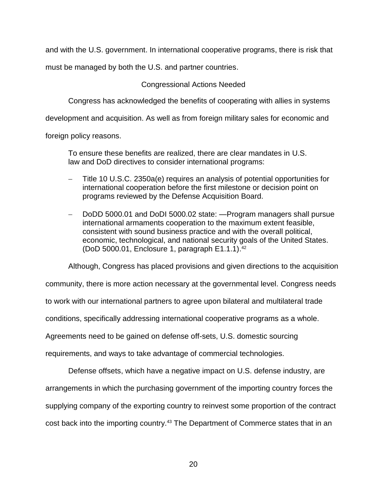and with the U.S. government. In international cooperative programs, there is risk that

must be managed by both the U.S. and partner countries.

## Congressional Actions Needed

Congress has acknowledged the benefits of cooperating with allies in systems

development and acquisition. As well as from foreign military sales for economic and

foreign policy reasons.

To ensure these benefits are realized, there are clear mandates in U.S. law and DoD directives to consider international programs:

- Title 10 U.S.C. 2350a(e) requires an analysis of potential opportunities for international cooperation before the first milestone or decision point on programs reviewed by the Defense Acquisition Board.
- DoDD 5000.01 and DoDI 5000.02 state: —Program managers shall pursue international armaments cooperation to the maximum extent feasible, consistent with sound business practice and with the overall political, economic, technological, and national security goals of the United States. (DoD 5000.01, Enclosure 1, paragraph E1.1.1). 42

Although, Congress has placed provisions and given directions to the acquisition

community, there is more action necessary at the governmental level. Congress needs

to work with our international partners to agree upon bilateral and multilateral trade

conditions, specifically addressing international cooperative programs as a whole.

Agreements need to be gained on defense off-sets, U.S. domestic sourcing

requirements, and ways to take advantage of commercial technologies.

Defense offsets, which have a negative impact on U.S. defense industry, are arrangements in which the purchasing government of the importing country forces the supplying company of the exporting country to reinvest some proportion of the contract cost back into the importing country.<sup>43</sup> The Department of Commerce states that in an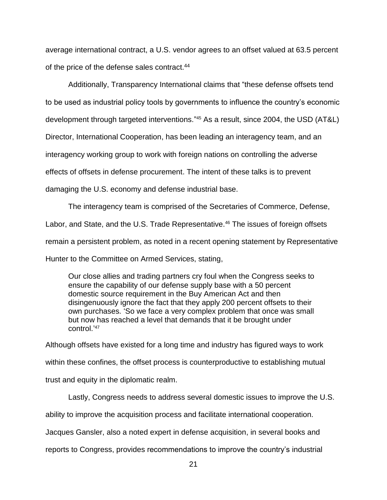average international contract, a U.S. vendor agrees to an offset valued at 63.5 percent of the price of the defense sales contract.<sup>44</sup>

Additionally, Transparency International claims that "these defense offsets tend to be used as industrial policy tools by governments to influence the country's economic development through targeted interventions." <sup>45</sup> As a result, since 2004, the USD (AT&L) Director, International Cooperation, has been leading an interagency team, and an interagency working group to work with foreign nations on controlling the adverse effects of offsets in defense procurement. The intent of these talks is to prevent damaging the U.S. economy and defense industrial base.

The interagency team is comprised of the Secretaries of Commerce, Defense, Labor, and State, and the U.S. Trade Representative.<sup>46</sup> The issues of foreign offsets remain a persistent problem, as noted in a recent opening statement by Representative Hunter to the Committee on Armed Services, stating,

Our close allies and trading partners cry foul when the Congress seeks to ensure the capability of our defense supply base with a 50 percent domestic source requirement in the Buy American Act and then disingenuously ignore the fact that they apply 200 percent offsets to their own purchases. 'So we face a very complex problem that once was small but now has reached a level that demands that it be brought under control.' 47

Although offsets have existed for a long time and industry has figured ways to work within these confines, the offset process is counterproductive to establishing mutual trust and equity in the diplomatic realm.

Lastly, Congress needs to address several domestic issues to improve the U.S. ability to improve the acquisition process and facilitate international cooperation. Jacques Gansler, also a noted expert in defense acquisition, in several books and reports to Congress, provides recommendations to improve the country's industrial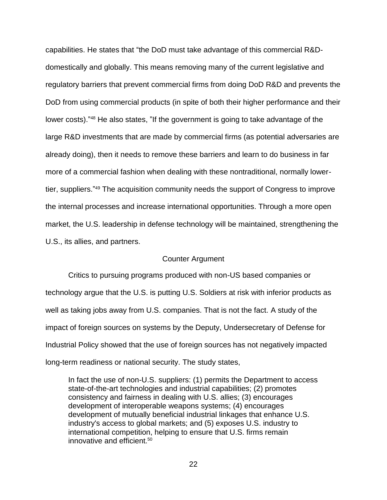capabilities. He states that "the DoD must take advantage of this commercial R&Ddomestically and globally. This means removing many of the current legislative and regulatory barriers that prevent commercial firms from doing DoD R&D and prevents the DoD from using commercial products (in spite of both their higher performance and their lower costs)."<sup>48</sup> He also states, "If the government is going to take advantage of the large R&D investments that are made by commercial firms (as potential adversaries are already doing), then it needs to remove these barriers and learn to do business in far more of a commercial fashion when dealing with these nontraditional, normally lowertier, suppliers." <sup>49</sup> The acquisition community needs the support of Congress to improve the internal processes and increase international opportunities. Through a more open market, the U.S. leadership in defense technology will be maintained, strengthening the U.S., its allies, and partners.

### Counter Argument

Critics to pursuing programs produced with non-US based companies or technology argue that the U.S. is putting U.S. Soldiers at risk with inferior products as well as taking jobs away from U.S. companies. That is not the fact. A study of the impact of foreign sources on systems by the Deputy, Undersecretary of Defense for Industrial Policy showed that the use of foreign sources has not negatively impacted long-term readiness or national security. The study states,

In fact the use of non-U.S. suppliers: (1) permits the Department to access state-of-the-art technologies and industrial capabilities; (2) promotes consistency and fairness in dealing with U.S. allies; (3) encourages development of interoperable weapons systems; (4) encourages development of mutually beneficial industrial linkages that enhance U.S. industry's access to global markets; and (5) exposes U.S. industry to international competition, helping to ensure that U.S. firms remain innovative and efficient.<sup>50</sup>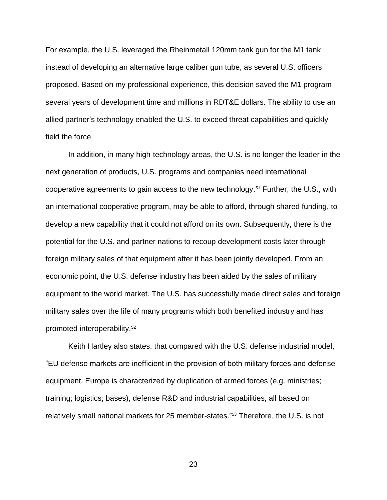For example, the U.S. leveraged the Rheinmetall 120mm tank gun for the M1 tank instead of developing an alternative large caliber gun tube, as several U.S. officers proposed. Based on my professional experience, this decision saved the M1 program several years of development time and millions in RDT&E dollars. The ability to use an allied partner's technology enabled the U.S. to exceed threat capabilities and quickly field the force.

In addition, in many high-technology areas, the U.S. is no longer the leader in the next generation of products, U.S. programs and companies need international cooperative agreements to gain access to the new technology. <sup>51</sup> Further, the U.S., with an international cooperative program, may be able to afford, through shared funding, to develop a new capability that it could not afford on its own. Subsequently, there is the potential for the U.S. and partner nations to recoup development costs later through foreign military sales of that equipment after it has been jointly developed. From an economic point, the U.S. defense industry has been aided by the sales of military equipment to the world market. The U.S. has successfully made direct sales and foreign military sales over the life of many programs which both benefited industry and has promoted interoperability. 52

Keith Hartley also states, that compared with the U.S. defense industrial model, "EU defense markets are inefficient in the provision of both military forces and defense equipment. Europe is characterized by duplication of armed forces (e.g. ministries; training; logistics; bases), defense R&D and industrial capabilities, all based on relatively small national markets for 25 member-states." <sup>53</sup> Therefore, the U.S. is not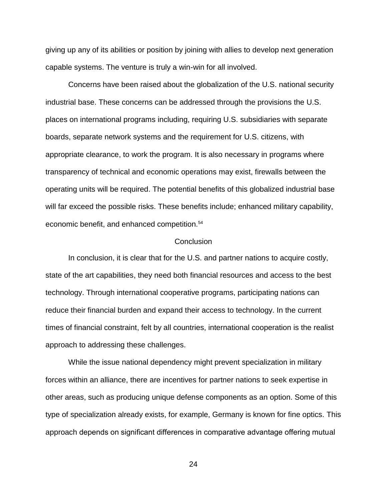giving up any of its abilities or position by joining with allies to develop next generation capable systems. The venture is truly a win-win for all involved.

Concerns have been raised about the globalization of the U.S. national security industrial base. These concerns can be addressed through the provisions the U.S. places on international programs including, requiring U.S. subsidiaries with separate boards, separate network systems and the requirement for U.S. citizens, with appropriate clearance, to work the program. It is also necessary in programs where transparency of technical and economic operations may exist, firewalls between the operating units will be required. The potential benefits of this globalized industrial base will far exceed the possible risks. These benefits include; enhanced military capability, economic benefit, and enhanced competition.<sup>54</sup>

### **Conclusion**

In conclusion, it is clear that for the U.S. and partner nations to acquire costly, state of the art capabilities, they need both financial resources and access to the best technology. Through international cooperative programs, participating nations can reduce their financial burden and expand their access to technology. In the current times of financial constraint, felt by all countries, international cooperation is the realist approach to addressing these challenges.

While the issue national dependency might prevent specialization in military forces within an alliance, there are incentives for partner nations to seek expertise in other areas, such as producing unique defense components as an option. Some of this type of specialization already exists, for example, Germany is known for fine optics. This approach depends on significant differences in comparative advantage offering mutual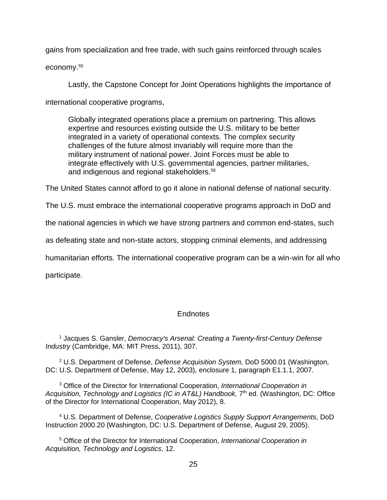gains from specialization and free trade, with such gains reinforced through scales

economy. 55

Lastly, the Capstone Concept for Joint Operations highlights the importance of

international cooperative programs,

Globally integrated operations place a premium on partnering. This allows expertise and resources existing outside the U.S. military to be better integrated in a variety of operational contexts. The complex security challenges of the future almost invariably will require more than the military instrument of national power. Joint Forces must be able to integrate effectively with U.S. governmental agencies, partner militaries, and indigenous and regional stakeholders.<sup>56</sup>

The United States cannot afford to go it alone in national defense of national security.

The U.S. must embrace the international cooperative programs approach in DoD and

the national agencies in which we have strong partners and common end-states, such

as defeating state and non-state actors, stopping criminal elements, and addressing

humanitarian efforts. The international cooperative program can be a win-win for all who

participate.

# Endnotes

<sup>1</sup> Jacques S. Gansler, *Democracy's Arsenal: Creating a Twenty-first-Century Defense Industry* (Cambridge, MA: MIT Press, 2011), 307.

<sup>2</sup> U.S. Department of Defense, *Defense Acquisition System,* DoD 5000.01 (Washington, DC: U.S. Department of Defense, May 12, 2003), enclosure 1, paragraph E1.1.1, 2007.

<sup>3</sup> Office of the Director for International Cooperation, *International Cooperation in*  Acquisition, Technology and Logistics (IC in AT&L) Handbook, 7<sup>th</sup> ed. (Washington, DC: Office of the Director for International Cooperation, May 2012), 8.

<sup>4</sup> U.S. Department of Defense, *Cooperative Logistics Supply Support Arrangements*, DoD Instruction 2000.20 (Washington, DC: U.S. Department of Defense, August 29, 2005).

<sup>5</sup> Office of the Director for International Cooperation, *International Cooperation in Acquisition, Technology and Logistics*, 12.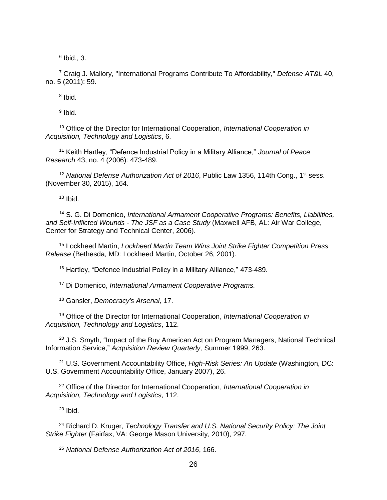$<sup>6</sup>$  Ibid., 3.</sup>

<sup>7</sup> Craig J. Mallory, "International Programs Contribute To Affordability," *Defense AT&L* 40, no. 5 (2011): 59.

<sup>8</sup> Ibid.

<sup>9</sup> Ibid.

<sup>10</sup> Office of the Director for International Cooperation, *International Cooperation in Acquisition, Technology and Logistics*, 6.

<sup>11</sup> Keith Hartley, "Defence Industrial Policy in a Military Alliance," *Journal of Peace Research* 43, no. 4 (2006): 473-489.

<sup>12</sup> National Defense Authorization Act of 2016, Public Law 1356, 114th Cong., 1<sup>st</sup> sess. (November 30, 2015), 164.

 $13$  Ibid.

<sup>14</sup> S. G. Di Domenico, *International Armament Cooperative Programs: Benefits, Liabilities, and Self-Inflicted Wounds - The JSF as a Case Study* (Maxwell AFB, AL: Air War College, Center for Strategy and Technical Center, 2006).

<sup>15</sup> Lockheed Martin, *Lockheed Martin Team Wins Joint Strike Fighter Competition Press Release* (Bethesda, MD: Lockheed Martin, October 26, 2001).

<sup>16</sup> Hartley, "Defence Industrial Policy in a Military Alliance," 473-489.

<sup>17</sup> Di Domenico, *International Armament Cooperative Programs.*

<sup>18</sup> Gansler, *Democracy's Arsenal,* 17.

<sup>19</sup> Office of the Director for International Cooperation, *International Cooperation in Acquisition, Technology and Logistics*, 112.

 $20$  J.S. Smyth, "Impact of the Buy American Act on Program Managers, National Technical Information Service," *Acquisition Review Quarterly,* Summer 1999, 263.

<sup>21</sup> U.S. Government Accountability Office, *High-Risk Series: An Update* (Washington, DC: U.S. Government Accountability Office, January 2007), 26.

<sup>22</sup> Office of the Director for International Cooperation, *International Cooperation in Acquisition, Technology and Logistics*, 112.

 $23$  Ibid.

<sup>24</sup> Richard D. Kruger, *Technology Transfer and U.S. National Security Policy: The Joint Strike Fighter* (Fairfax, VA: George Mason University, 2010), 297.

<sup>25</sup> *National Defense Authorization Act of 2016*, 166.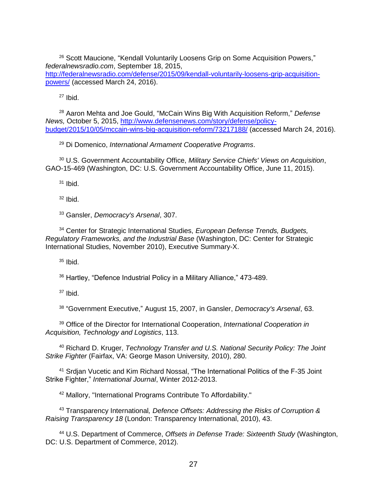<sup>26</sup> Scott Maucione, "Kendall Voluntarily Loosens Grip on Some Acquisition Powers," *federalnewsradio.com*, September 18, 2015, [http://federalnewsradio.com/defense/2015/09/kendall-voluntarily-loosens-grip-acquisition](http://federalnewsradio.com/defense/2015/09/kendall-voluntarily-loosens-grip-acquisition-powers/)[powers/](http://federalnewsradio.com/defense/2015/09/kendall-voluntarily-loosens-grip-acquisition-powers/) (accessed March 24, 2016).

 $27$  Ibid.

<sup>28</sup> Aaron Mehta and Joe Gould, "McCain Wins Big With Acquisition Reform," *Defense News,* October 5, 2015, [http://www.defensenews.com/story/defense/policy](http://www.defensenews.com/story/defense/policy-budget/2015/10/05/mccain-wins-big-acquisition-reform/73217188/)[budget/2015/10/05/mccain-wins-big-acquisition-reform/73217188/](http://www.defensenews.com/story/defense/policy-budget/2015/10/05/mccain-wins-big-acquisition-reform/73217188/) (accessed March 24, 2016).

<sup>29</sup> Di Domenico, *International Armament Cooperative Programs*.

<sup>30</sup> U.S. Government Accountability Office, *Military Service Chiefs' Views on Acquisition*, GAO-15-469 (Washington, DC: U.S. Government Accountability Office, June 11, 2015).

 $31$  Ibid.

 $32$  Ibid.

<sup>33</sup> Gansler, *Democracy's Arsenal*, 307.

<sup>34</sup> Center for Strategic International Studies, *European Defense Trends, Budgets, Regulatory Frameworks, and the Industrial Base* (Washington, DC: Center for Strategic International Studies, November 2010), Executive Summary-X.

 $35$  Ibid.

<sup>36</sup> Hartley, "Defence Industrial Policy in a Military Alliance," 473-489.

 $37$  Ibid.

38 "Government Executive," August 15, 2007, in Gansler, *Democracy's Arsenal*, 63.

<sup>39</sup> Office of the Director for International Cooperation, *International Cooperation in Acquisition, Technology and Logistics*, 113.

<sup>40</sup> Richard D. Kruger, *Technology Transfer and U.S. National Security Policy: The Joint Strike Fighter* (Fairfax, VA: George Mason University*,* 2010), 280.

<sup>41</sup> Srdjan Vucetic and Kim Richard Nossal, "The International Politics of the F-35 Joint Strike Fighter," *International Journal*, Winter 2012-2013.

<sup>42</sup> Mallory, "International Programs Contribute To Affordability."

<sup>43</sup> Transparency International*, Defence Offsets: Addressing the Risks of Corruption & Raising Transparency 18* (London: Transparency International, 2010), 43.

<sup>44</sup> U.S. Department of Commerce, *Offsets in Defense Trade: Sixteenth Study* (Washington, DC: U.S. Department of Commerce, 2012).